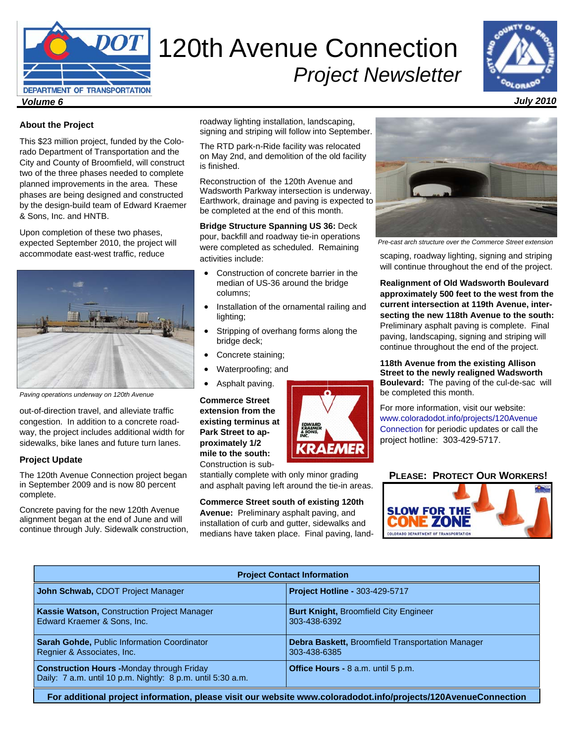

# 120th Avenue Connection *Project Newsletter*



#### *July 2010*

### **About the Project**

This \$23 million project, funded by the Colorado Department of Transportation and the City and County of Broomfield, will construct two of the three phases needed to complete planned improvements in the area. These phases are being designed and constructed by the design-build team of Edward Kraemer & Sons, Inc. and HNTB.

Upon completion of these two phases, expected September 2010, the project will accommodate east-west traffic, reduce



*Paving operations underway on 120th Avenue* 

out-of-direction travel, and alleviate traffic congestion. In addition to a concrete roadway, the project includes additional width for sidewalks, bike lanes and future turn lanes.

### **Project Update**

The 120th Avenue Connection project began in September 2009 and is now 80 percent complete.

Concrete paving for the new 120th Avenue alignment began at the end of June and will continue through July. Sidewalk construction, roadway lighting installation, landscaping, signing and striping will follow into September.

The RTD park-n-Ride facility was relocated on May 2nd, and demolition of the old facility is finished.

Reconstruction of the 120th Avenue and Wadsworth Parkway intersection is underway. Earthwork, drainage and paving is expected to be completed at the end of this month.

**Bridge Structure Spanning US 36:** Deck pour, backfill and roadway tie-in operations were completed as scheduled. Remaining activities include:

- Construction of concrete barrier in the median of US-36 around the bridge columns;
- Installation of the ornamental railing and lighting;
- Stripping of overhang forms along the bridge deck;
- Concrete staining;
- Waterproofing; and
- Asphalt paving.

**Commerce Street extension from the existing terminus at Park Street to approximately 1/2 mile to the south:** Construction is sub-

stantially complete with only minor grading and asphalt paving left around the tie-in areas.

**Commerce Street south of existing 120th Avenue:** Preliminary asphalt paving, and installation of curb and gutter, sidewalks and medians have taken place. Final paving, land-





*Pre-cast arch structure over the Commerce Street extension* 

scaping, roadway lighting, signing and striping will continue throughout the end of the project.

**Realignment of Old Wadsworth Boulevard approximately 500 feet to the west from the current intersection at 119th Avenue, intersecting the new 118th Avenue to the south:**  Preliminary asphalt paving is complete. Final paving, landscaping, signing and striping will continue throughout the end of the project.

**118th Avenue from the existing Allison Street to the newly realigned Wadsworth Boulevard:** The paving of the cul-de-sac will be completed this month.

For more information, visit our website: www.coloradodot.info/projects/120Avenue Connection for periodic updates or call the project hotline: 303-429-5717.

## **PLEASE: PROTECT OUR WORKERS!**



| <b>Project Contact Information</b>                                                                              |                                                                         |
|-----------------------------------------------------------------------------------------------------------------|-------------------------------------------------------------------------|
| John Schwab, CDOT Project Manager                                                                               | Project Hotline - 303-429-5717                                          |
| Kassie Watson, Construction Project Manager<br>Edward Kraemer & Sons, Inc.                                      | <b>Burt Knight, Broomfield City Engineer</b><br>303-438-6392            |
| <b>Sarah Gohde, Public Information Coordinator</b><br>Regnier & Associates, Inc.                                | <b>Debra Baskett, Broomfield Transportation Manager</b><br>303-438-6385 |
| <b>Construction Hours -Monday through Friday</b><br>Daily: 7 a.m. until 10 p.m. Nightly: 8 p.m. until 5:30 a.m. | Office Hours - 8 a.m. until 5 p.m.                                      |
| For additional project information, please visit our website www.coloradodot.info/projects/120AvenueConnection  |                                                                         |